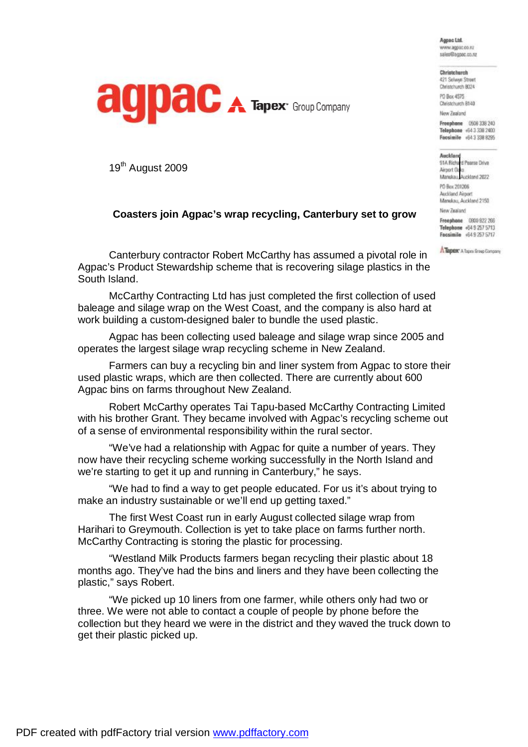Agnac Ltd. www.agpac.co.nz sales@agpac.co.ru

Christehurch



421 Selwyn Street Christchurch 8024 PO Box 4575 Christchurch 8140 New Zealand

Auckland 91A Richard Pearse Drive Airport Oak Manukau, Auckland 2022 PO Box 201206 Auckland Airport Manukau, Auckland 2150 New Zealand Freeshone 0800 922 266 Telephone +64 9 257 5713 Facsimile +6492575717 A Tapex' A Tapes Group Company

Freephone 0508 338 240 Telephone +64 3 338 2400 Facsimile +643 338 8295

19<sup>th</sup> August 2009

## **Coasters join Agpac's wrap recycling, Canterbury set to grow**

Canterbury contractor Robert McCarthy has assumed a pivotal role in Agpac's Product Stewardship scheme that is recovering silage plastics in the South Island.

McCarthy Contracting Ltd has just completed the first collection of used baleage and silage wrap on the West Coast, and the company is also hard at work building a custom-designed baler to bundle the used plastic.

Agpac has been collecting used baleage and silage wrap since 2005 and operates the largest silage wrap recycling scheme in New Zealand.

Farmers can buy a recycling bin and liner system from Agpac to store their used plastic wraps, which are then collected. There are currently about 600 Agpac bins on farms throughout New Zealand.

Robert McCarthy operates Tai Tapu-based McCarthy Contracting Limited with his brother Grant. They became involved with Agpac's recycling scheme out of a sense of environmental responsibility within the rural sector.

"We've had a relationship with Agpac for quite a number of years. They now have their recycling scheme working successfully in the North Island and we're starting to get it up and running in Canterbury," he says.

"We had to find a way to get people educated. For us it's about trying to make an industry sustainable or we'll end up getting taxed."

The first West Coast run in early August collected silage wrap from Harihari to Greymouth. Collection is yet to take place on farms further north. McCarthy Contracting is storing the plastic for processing.

"Westland Milk Products farmers began recycling their plastic about 18 months ago. They've had the bins and liners and they have been collecting the plastic," says Robert.

"We picked up 10 liners from one farmer, while others only had two or three. We were not able to contact a couple of people by phone before the collection but they heard we were in the district and they waved the truck down to get their plastic picked up.